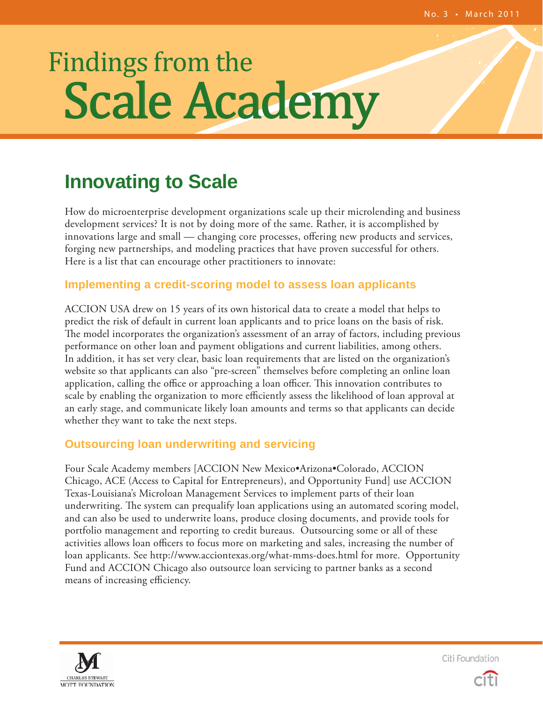# **Scale Academy** Findings from the

## **Innovating to Scale**

How do microenterprise development organizations scale up their microlending and business development services? It is not by doing more of the same. Rather, it is accomplished by innovations large and small — changing core processes, offering new products and services, forging new partnerships, and modeling practices that have proven successful for others. Here is a list that can encourage other practitioners to innovate:

#### **Implementing a credit-scoring model to assess loan applicants**

ACCION USA drew on 15 years of its own historical data to create a model that helps to predict the risk of default in current loan applicants and to price loans on the basis of risk. The model incorporates the organization's assessment of an array of factors, including previous performance on other loan and payment obligations and current liabilities, among others. In addition, it has set very clear, basic loan requirements that are listed on the organization's website so that applicants can also "pre-screen" themselves before completing an online loan application, calling the office or approaching a loan officer. This innovation contributes to scale by enabling the organization to more efficiently assess the likelihood of loan approval at an early stage, and communicate likely loan amounts and terms so that applicants can decide whether they want to take the next steps.

#### **Outsourcing loan underwriting and servicing**

Four Scale Academy members [ACCION New Mexico•Arizona•Colorado, ACCION Chicago, ACE (Access to Capital for Entrepreneurs), and Opportunity Fund] use ACCION Texas-Louisiana's Microloan Management Services to implement parts of their loan underwriting. The system can prequalify loan applications using an automated scoring model, and can also be used to underwrite loans, produce closing documents, and provide tools for portfolio management and reporting to credit bureaus. Outsourcing some or all of these activities allows loan officers to focus more on marketing and sales, increasing the number of loan applicants. See http://www.acciontexas.org/what-mms-does.html for more. Opportunity Fund and ACCION Chicago also outsource loan servicing to partner banks as a second means of increasing efficiency.



Citi Foundation

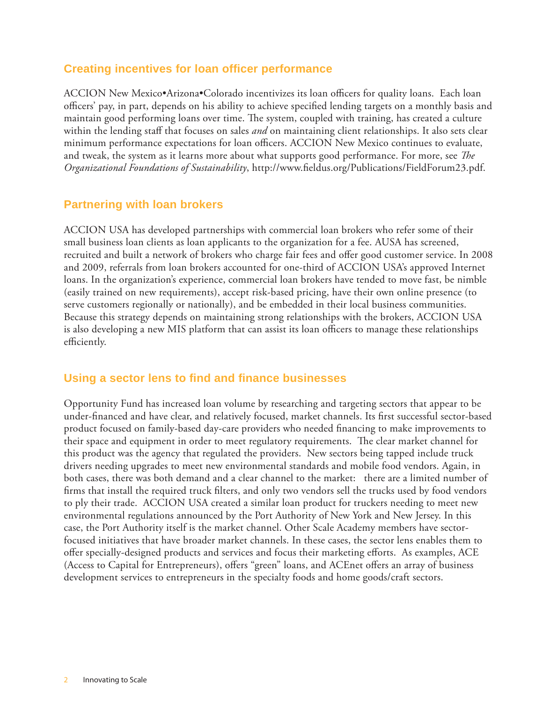#### **Creating incentives for loan officer performance**

ACCION New Mexico•Arizona•Colorado incentivizes its loan officers for quality loans. Each loan officers' pay, in part, depends on his ability to achieve specified lending targets on a monthly basis and maintain good performing loans over time. The system, coupled with training, has created a culture within the lending staff that focuses on sales *and* on maintaining client relationships. It also sets clear minimum performance expectations for loan officers. ACCION New Mexico continues to evaluate, and tweak, the system as it learns more about what supports good performance. For more, see *The Organizational Foundations of Sustainability*, http://www.fieldus.org/Publications/FieldForum23.pdf.

#### **Partnering with loan brokers**

ACCION USA has developed partnerships with commercial loan brokers who refer some of their small business loan clients as loan applicants to the organization for a fee. AUSA has screened, recruited and built a network of brokers who charge fair fees and offer good customer service. In 2008 and 2009, referrals from loan brokers accounted for one-third of ACCION USA's approved Internet loans. In the organization's experience, commercial loan brokers have tended to move fast, be nimble (easily trained on new requirements), accept risk-based pricing, have their own online presence (to serve customers regionally or nationally), and be embedded in their local business communities. Because this strategy depends on maintaining strong relationships with the brokers, ACCION USA is also developing a new MIS platform that can assist its loan officers to manage these relationships efficiently.

#### **Using a sector lens to fi nd and fi nance businesses**

Opportunity Fund has increased loan volume by researching and targeting sectors that appear to be under-financed and have clear, and relatively focused, market channels. Its first successful sector-based product focused on family-based day-care providers who needed financing to make improvements to their space and equipment in order to meet regulatory requirements. The clear market channel for this product was the agency that regulated the providers. New sectors being tapped include truck drivers needing upgrades to meet new environmental standards and mobile food vendors. Again, in both cases, there was both demand and a clear channel to the market: there are a limited number of firms that install the required truck filters, and only two vendors sell the trucks used by food vendors to ply their trade. ACCION USA created a similar loan product for truckers needing to meet new environmental regulations announced by the Port Authority of New York and New Jersey. In this case, the Port Authority itself is the market channel. Other Scale Academy members have sectorfocused initiatives that have broader market channels. In these cases, the sector lens enables them to offer specially-designed products and services and focus their marketing efforts. As examples, ACE (Access to Capital for Entrepreneurs), offers "green" loans, and ACEnet offers an array of business development services to entrepreneurs in the specialty foods and home goods/craft sectors.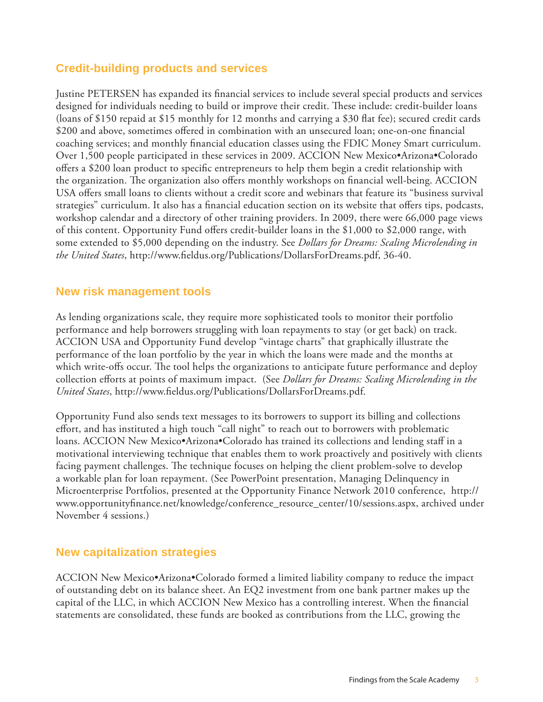#### **Credit-building products and services**

Justine PETERSEN has expanded its financial services to include several special products and services designed for individuals needing to build or improve their credit. These include: credit-builder loans (loans of \$150 repaid at \$15 monthly for 12 months and carrying a \$30 flat fee); secured credit cards \$200 and above, sometimes offered in combination with an unsecured loan; one-on-one financial coaching services; and monthly financial education classes using the FDIC Money Smart curriculum. Over 1,500 people participated in these services in 2009. ACCION New Mexico•Arizona•Colorado offers a \$200 loan product to specific entrepreneurs to help them begin a credit relationship with the organization. The organization also offers monthly workshops on financial well-being. ACCION USA offers small loans to clients without a credit score and webinars that feature its "business survival strategies" curriculum. It also has a financial education section on its website that offers tips, podcasts, workshop calendar and a directory of other training providers. In 2009, there were 66,000 page views of this content. Opportunity Fund offers credit-builder loans in the \$1,000 to \$2,000 range, with some extended to \$5,000 depending on the industry. See *Dollars for Dreams: Scaling Microlending in the United States*, http://www.fieldus.org/Publications/DollarsForDreams.pdf, 36-40.

#### **New risk management tools**

As lending organizations scale, they require more sophisticated tools to monitor their portfolio performance and help borrowers struggling with loan repayments to stay (or get back) on track. ACCION USA and Opportunity Fund develop "vintage charts" that graphically illustrate the performance of the loan portfolio by the year in which the loans were made and the months at which write-offs occur. The tool helps the organizations to anticipate future performance and deploy collection efforts at points of maximum impact. (See *Dollars for Dreams: Scaling Microlending in the United States*, http://www.fieldus.org/Publications/DollarsForDreams.pdf.

Opportunity Fund also sends text messages to its borrowers to support its billing and collections effort, and has instituted a high touch "call night" to reach out to borrowers with problematic loans. ACCION New Mexico•Arizona•Colorado has trained its collections and lending staff in a motivational interviewing technique that enables them to work proactively and positively with clients facing payment challenges. The technique focuses on helping the client problem-solve to develop a workable plan for loan repayment. (See PowerPoint presentation, Managing Delinquency in Microenterprise Portfolios, presented at the Opportunity Finance Network 2010 conference, http:// www.opportunityfinance.net/knowledge/conference\_resource\_center/10/sessions.aspx, archived under November 4 sessions.)

#### **New capitalization strategies**

ACCION New Mexico•Arizona•Colorado formed a limited liability company to reduce the impact of outstanding debt on its balance sheet. An EQ2 investment from one bank partner makes up the capital of the LLC, in which ACCION New Mexico has a controlling interest. When the financial statements are consolidated, these funds are booked as contributions from the LLC, growing the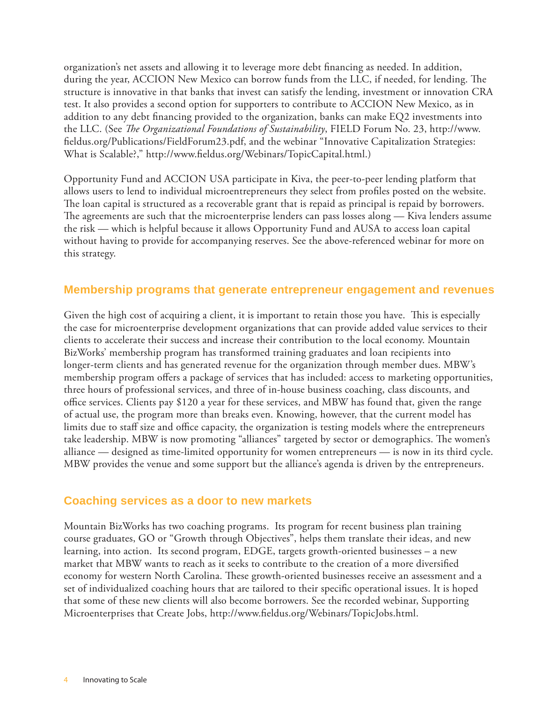organization's net assets and allowing it to leverage more debt financing as needed. In addition, during the year, ACCION New Mexico can borrow funds from the LLC, if needed, for lending. The structure is innovative in that banks that invest can satisfy the lending, investment or innovation CRA test. It also provides a second option for supporters to contribute to ACCION New Mexico, as in addition to any debt financing provided to the organization, banks can make EQ2 investments into the LLC. (See *The Organizational Foundations of Sustainability*, FIELD Forum No. 23, http://www. fieldus.org/Publications/FieldForum23.pdf, and the webinar "Innovative Capitalization Strategies: What is Scalable?," http://www.fieldus.org/Webinars/TopicCapital.html.)

Opportunity Fund and ACCION USA participate in Kiva, the peer-to-peer lending platform that allows users to lend to individual microentrepreneurs they select from profiles posted on the website. The loan capital is structured as a recoverable grant that is repaid as principal is repaid by borrowers. The agreements are such that the microenterprise lenders can pass losses along  $-$  Kiva lenders assume the risk — which is helpful because it allows Opportunity Fund and AUSA to access loan capital without having to provide for accompanying reserves. See the above-referenced webinar for more on this strategy.

#### **Membership programs that generate entrepreneur engagement and revenues**

Given the high cost of acquiring a client, it is important to retain those you have. This is especially the case for microenterprise development organizations that can provide added value services to their clients to accelerate their success and increase their contribution to the local economy. Mountain BizWorks' membership program has transformed training graduates and loan recipients into longer-term clients and has generated revenue for the organization through member dues. MBW's membership program offers a package of services that has included: access to marketing opportunities, three hours of professional services, and three of in-house business coaching, class discounts, and office services. Clients pay \$120 a year for these services, and MBW has found that, given the range of actual use, the program more than breaks even. Knowing, however, that the current model has limits due to staff size and office capacity, the organization is testing models where the entrepreneurs take leadership. MBW is now promoting "alliances" targeted by sector or demographics. The women's alliance — designed as time-limited opportunity for women entrepreneurs — is now in its third cycle. MBW provides the venue and some support but the alliance's agenda is driven by the entrepreneurs.

#### **Coaching services as a door to new markets**

Mountain BizWorks has two coaching programs. Its program for recent business plan training course graduates, GO or "Growth through Objectives", helps them translate their ideas, and new learning, into action. Its second program, EDGE, targets growth-oriented businesses – a new market that MBW wants to reach as it seeks to contribute to the creation of a more diversified economy for western North Carolina. These growth-oriented businesses receive an assessment and a set of individualized coaching hours that are tailored to their specific operational issues. It is hoped that some of these new clients will also become borrowers. See the recorded webinar, Supporting Microenterprises that Create Jobs, http://www.fieldus.org/Webinars/TopicJobs.html.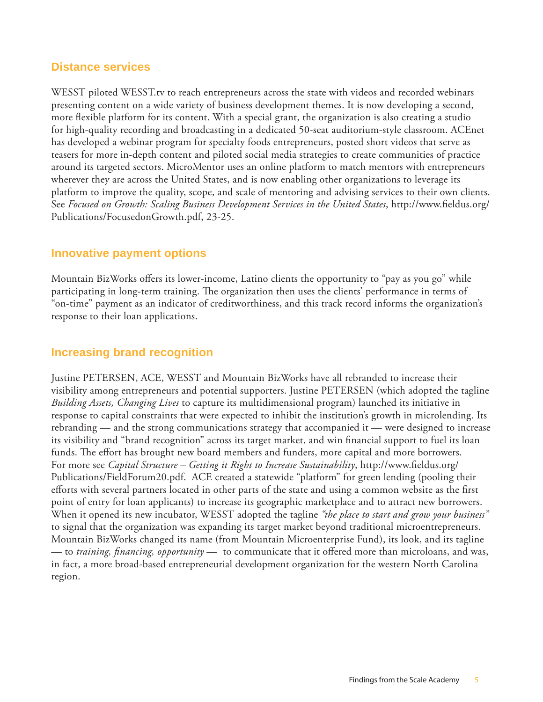#### **Distance services**

WESST piloted WESST.tv to reach entrepreneurs across the state with videos and recorded webinars presenting content on a wide variety of business development themes. It is now developing a second, more flexible platform for its content. With a special grant, the organization is also creating a studio for high-quality recording and broadcasting in a dedicated 50-seat auditorium-style classroom. ACEnet has developed a webinar program for specialty foods entrepreneurs, posted short videos that serve as teasers for more in-depth content and piloted social media strategies to create communities of practice around its targeted sectors. MicroMentor uses an online platform to match mentors with entrepreneurs wherever they are across the United States, and is now enabling other organizations to leverage its platform to improve the quality, scope, and scale of mentoring and advising services to their own clients. See Focused on Growth: Scaling Business Development Services in the United States, http://www.fieldus.org/ Publications/FocusedonGrowth.pdf, 23-25.

#### **Innovative payment options**

Mountain BizWorks offers its lower-income, Latino clients the opportunity to "pay as you go" while participating in long-term training. The organization then uses the clients' performance in terms of "on-time" payment as an indicator of creditworthiness, and this track record informs the organization's response to their loan applications.

#### **Increasing brand recognition**

Justine PETERSEN, ACE, WESST and Mountain BizWorks have all rebranded to increase their visibility among entrepreneurs and potential supporters. Justine PETERSEN (which adopted the tagline *Building Assets, Changing Lives* to capture its multidimensional program) launched its initiative in response to capital constraints that were expected to inhibit the institution's growth in microlending. Its rebranding — and the strong communications strategy that accompanied it — were designed to increase its visibility and "brand recognition" across its target market, and win financial support to fuel its loan funds. The effort has brought new board members and funders, more capital and more borrowers. For more see *Capital Structure – Getting it Right to Increase Sustainability*, http://www.fieldus.org/ Publications/FieldForum20.pdf. ACE created a statewide "platform" for green lending (pooling their efforts with several partners located in other parts of the state and using a common website as the first point of entry for loan applicants) to increase its geographic marketplace and to attract new borrowers. When it opened its new incubator, WESST adopted the tagline *"the place to start and grow your business"* to signal that the organization was expanding its target market beyond traditional microentrepreneurs. Mountain BizWorks changed its name (from Mountain Microenterprise Fund), its look, and its tagline — to *training, financing, opportunity* — to communicate that it offered more than microloans, and was, in fact, a more broad-based entrepreneurial development organization for the western North Carolina region.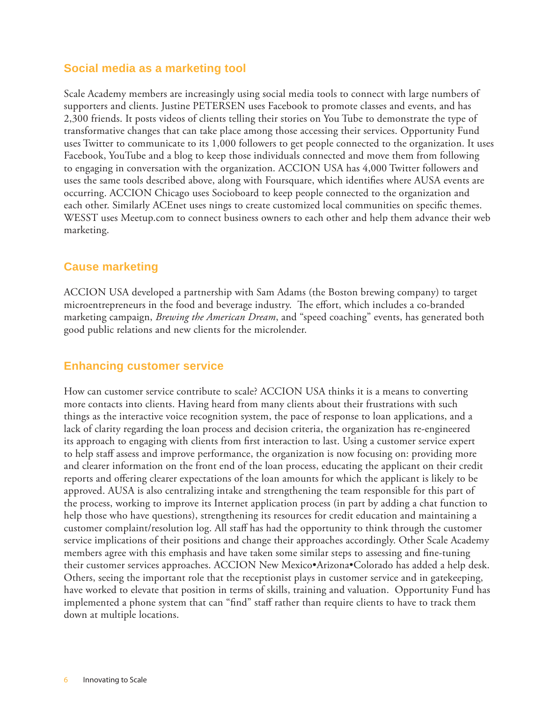#### **Social media as a marketing tool**

Scale Academy members are increasingly using social media tools to connect with large numbers of supporters and clients. Justine PETERSEN uses Facebook to promote classes and events, and has 2,300 friends. It posts videos of clients telling their stories on You Tube to demonstrate the type of transformative changes that can take place among those accessing their services. Opportunity Fund uses Twitter to communicate to its 1,000 followers to get people connected to the organization. It uses Facebook, YouTube and a blog to keep those individuals connected and move them from following to engaging in conversation with the organization. ACCION USA has 4,000 Twitter followers and uses the same tools described above, along with Foursquare, which identifies where AUSA events are occurring. ACCION Chicago uses Socioboard to keep people connected to the organization and each other. Similarly ACEnet uses nings to create customized local communities on specific themes. WESST uses Meetup.com to connect business owners to each other and help them advance their web marketing.

#### **Cause marketing**

ACCION USA developed a partnership with Sam Adams (the Boston brewing company) to target microentrepreneurs in the food and beverage industry. The effort, which includes a co-branded marketing campaign, *Brewing the American Dream*, and "speed coaching" events, has generated both good public relations and new clients for the microlender.

#### **Enhancing customer service**

How can customer service contribute to scale? ACCION USA thinks it is a means to converting more contacts into clients. Having heard from many clients about their frustrations with such things as the interactive voice recognition system, the pace of response to loan applications, and a lack of clarity regarding the loan process and decision criteria, the organization has re-engineered its approach to engaging with clients from first interaction to last. Using a customer service expert to help staff assess and improve performance, the organization is now focusing on: providing more and clearer information on the front end of the loan process, educating the applicant on their credit reports and offering clearer expectations of the loan amounts for which the applicant is likely to be approved. AUSA is also centralizing intake and strengthening the team responsible for this part of the process, working to improve its Internet application process (in part by adding a chat function to help those who have questions), strengthening its resources for credit education and maintaining a customer complaint/resolution log. All staff has had the opportunity to think through the customer service implications of their positions and change their approaches accordingly. Other Scale Academy members agree with this emphasis and have taken some similar steps to assessing and fine-tuning their customer services approaches. ACCION New Mexico•Arizona•Colorado has added a help desk. Others, seeing the important role that the receptionist plays in customer service and in gatekeeping, have worked to elevate that position in terms of skills, training and valuation. Opportunity Fund has implemented a phone system that can "find" staff rather than require clients to have to track them down at multiple locations.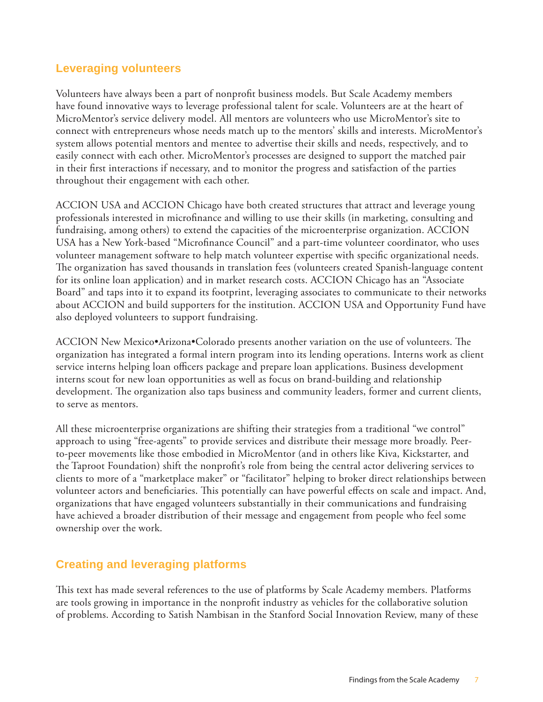#### **Leveraging volunteers**

Volunteers have always been a part of nonprofi t business models. But Scale Academy members have found innovative ways to leverage professional talent for scale. Volunteers are at the heart of MicroMentor's service delivery model. All mentors are volunteers who use MicroMentor's site to connect with entrepreneurs whose needs match up to the mentors' skills and interests. MicroMentor's system allows potential mentors and mentee to advertise their skills and needs, respectively, and to easily connect with each other. MicroMentor's processes are designed to support the matched pair in their first interactions if necessary, and to monitor the progress and satisfaction of the parties throughout their engagement with each other.

ACCION USA and ACCION Chicago have both created structures that attract and leverage young professionals interested in microfinance and willing to use their skills (in marketing, consulting and fundraising, among others) to extend the capacities of the microenterprise organization. ACCION USA has a New York-based "Microfinance Council" and a part-time volunteer coordinator, who uses volunteer management software to help match volunteer expertise with specific organizational needs. The organization has saved thousands in translation fees (volunteers created Spanish-language content for its online loan application) and in market research costs. ACCION Chicago has an "Associate Board" and taps into it to expand its footprint, leveraging associates to communicate to their networks about ACCION and build supporters for the institution. ACCION USA and Opportunity Fund have also deployed volunteers to support fundraising.

ACCION New Mexico•Arizona•Colorado presents another variation on the use of volunteers. The organization has integrated a formal intern program into its lending operations. Interns work as client service interns helping loan officers package and prepare loan applications. Business development interns scout for new loan opportunities as well as focus on brand-building and relationship development. The organization also taps business and community leaders, former and current clients, to serve as mentors.

All these microenterprise organizations are shifting their strategies from a traditional "we control" approach to using "free-agents" to provide services and distribute their message more broadly. Peerto-peer movements like those embodied in MicroMentor (and in others like Kiva, Kickstarter, and the Taproot Foundation) shift the nonprofit's role from being the central actor delivering services to clients to more of a "marketplace maker" or "facilitator" helping to broker direct relationships between volunteer actors and beneficiaries. This potentially can have powerful effects on scale and impact. And, organizations that have engaged volunteers substantially in their communications and fundraising have achieved a broader distribution of their message and engagement from people who feel some ownership over the work.

#### **Creating and leveraging platforms**

This text has made several references to the use of platforms by Scale Academy members. Platforms are tools growing in importance in the nonprofit industry as vehicles for the collaborative solution of problems. According to Satish Nambisan in the Stanford Social Innovation Review, many of these